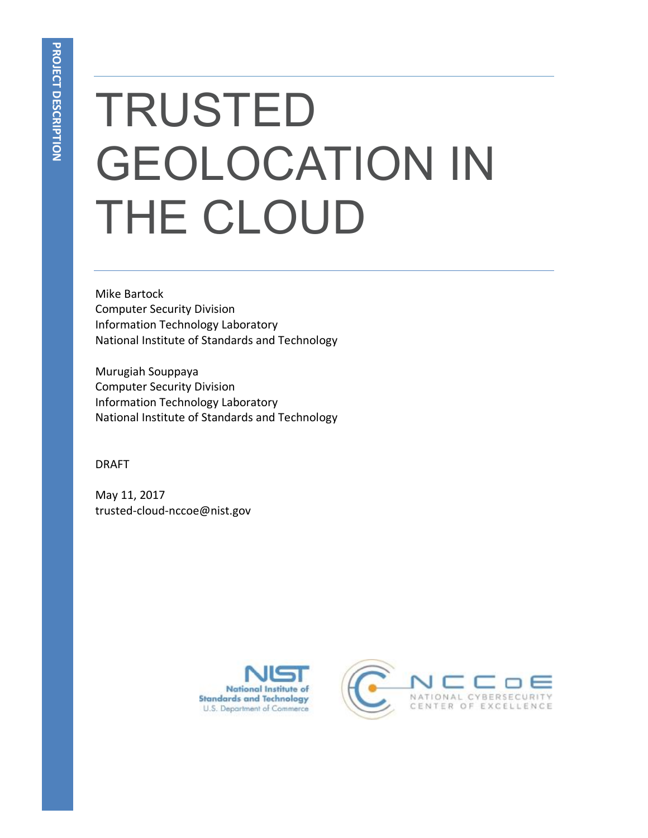# TRUSTED GEOLOCATION IN THE CLOUD

Mike Bartock Computer Security Division Information Technology Laboratory National Institute of Standards and Technology

Murugiah Souppaya Computer Security Division Information Technology Laboratory National Institute of Standards and Technology

DRAFT

May 11, 2017 trusted-cloud-nccoe@nist.gov



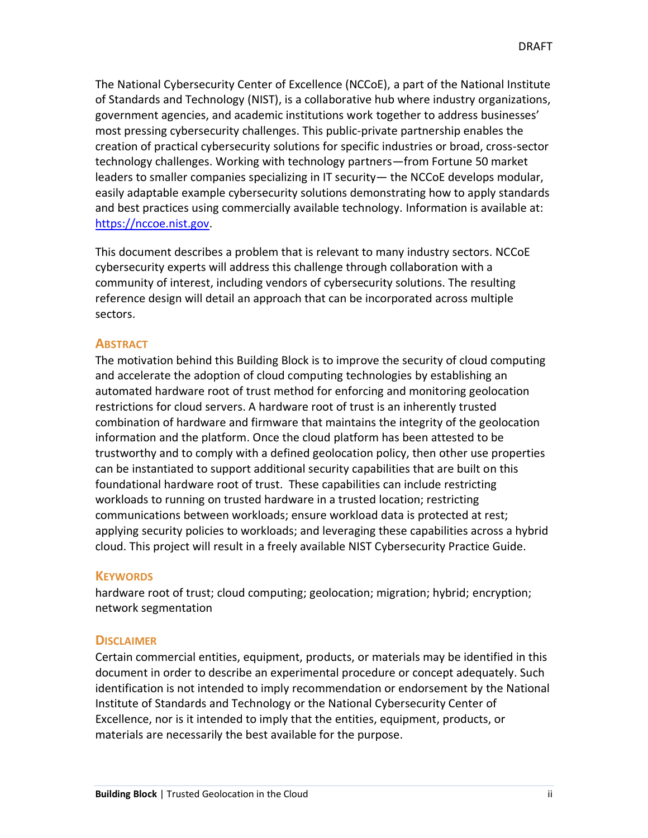The National Cybersecurity Center of Excellence (NCCoE), a part of the National Institute of Standards and Technology (NIST), is a collaborative hub where industry organizations, government agencies, and academic institutions work together to address businesses' most pressing cybersecurity challenges. This public-private partnership enables the creation of practical cybersecurity solutions for specific industries or broad, cross-sector technology challenges. Working with technology partners—from Fortune 50 market leaders to smaller companies specializing in IT security— the NCCoE develops modular, easily adaptable example cybersecurity solutions demonstrating how to apply standards and best practices using commercially available technology. Information is available at: [https://nccoe.nist.gov.](https://nccoe.nist.gov/)

This document describes a problem that is relevant to many industry sectors. NCCoE cybersecurity experts will address this challenge through collaboration with a community of interest, including vendors of cybersecurity solutions. The resulting reference design will detail an approach that can be incorporated across multiple sectors.

#### **ABSTRACT**

The motivation behind this Building Block is to improve the security of cloud computing and accelerate the adoption of cloud computing technologies by establishing an automated hardware root of trust method for enforcing and monitoring geolocation restrictions for cloud servers. A hardware root of trust is an inherently trusted combination of hardware and firmware that maintains the integrity of the geolocation information and the platform. Once the cloud platform has been attested to be trustworthy and to comply with a defined geolocation policy, then other use properties can be instantiated to support additional security capabilities that are built on this foundational hardware root of trust. These capabilities can include restricting workloads to running on trusted hardware in a trusted location; restricting communications between workloads; ensure workload data is protected at rest; applying security policies to workloads; and leveraging these capabilities across a hybrid cloud. This project will result in a freely available NIST Cybersecurity Practice Guide.

#### **KEYWORDS**

hardware root of trust; cloud computing; geolocation; migration; hybrid; encryption; network segmentation

#### **DISCLAIMER**

Certain commercial entities, equipment, products, or materials may be identified in this document in order to describe an experimental procedure or concept adequately. Such identification is not intended to imply recommendation or endorsement by the National Institute of Standards and Technology or the National Cybersecurity Center of Excellence, nor is it intended to imply that the entities, equipment, products, or materials are necessarily the best available for the purpose.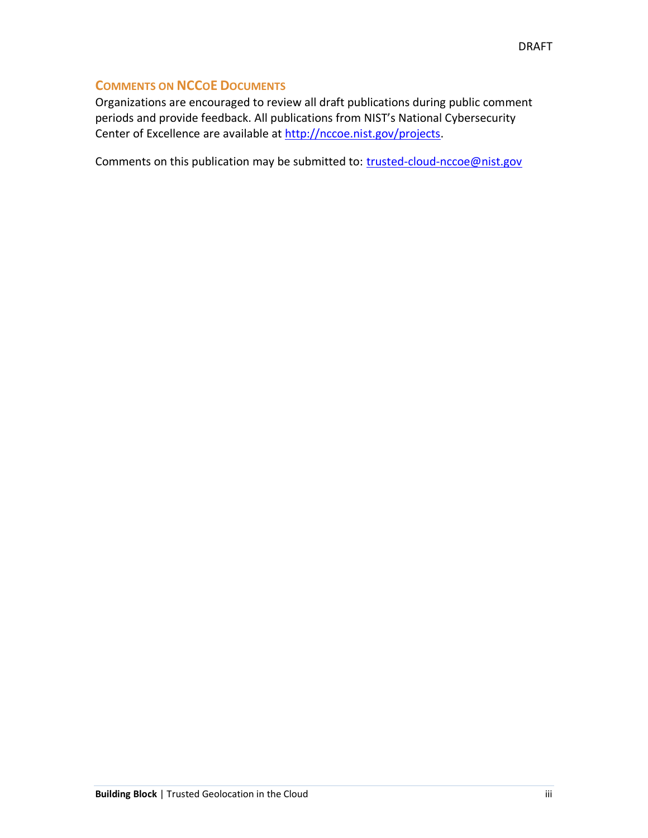#### **COMMENTS ON NCCOE DOCUMENTS**

Organizations are encouraged to review all draft publications during public comment periods and provide feedback. All publications from NIST's National Cybersecurity Center of Excellence are available at [http://nccoe.nist.gov/projects.](http://nccoe.nist.gov/projects)

Comments on this publication may be submitted to: [trusted-cloud-nccoe@nist.gov](mailto:trusted-cloud-nccoe@nist.gov)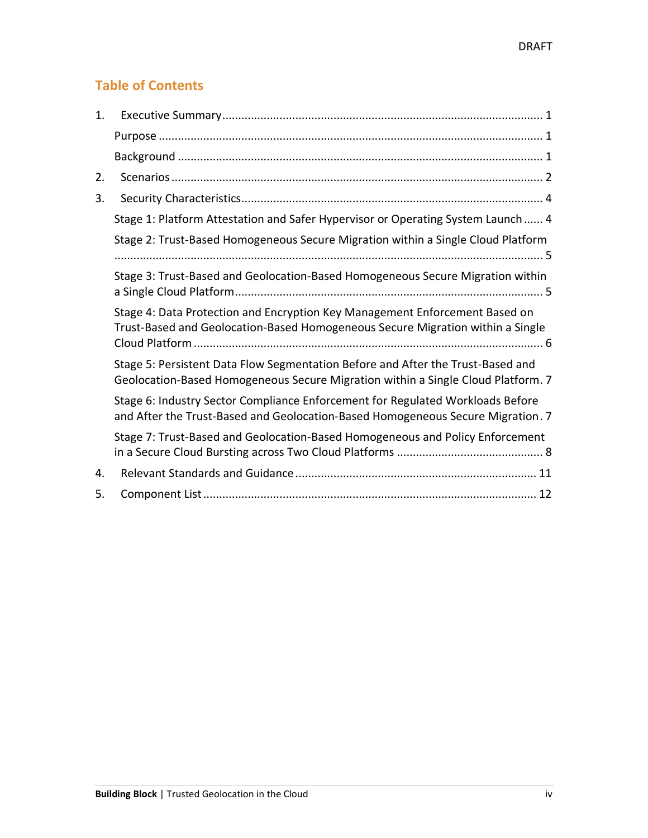# **Table of Contents**

| 1. |                                                                                                                                                                     |
|----|---------------------------------------------------------------------------------------------------------------------------------------------------------------------|
|    |                                                                                                                                                                     |
|    |                                                                                                                                                                     |
| 2. |                                                                                                                                                                     |
| 3. |                                                                                                                                                                     |
|    | Stage 1: Platform Attestation and Safer Hypervisor or Operating System Launch 4                                                                                     |
|    | Stage 2: Trust-Based Homogeneous Secure Migration within a Single Cloud Platform                                                                                    |
|    | Stage 3: Trust-Based and Geolocation-Based Homogeneous Secure Migration within                                                                                      |
|    | Stage 4: Data Protection and Encryption Key Management Enforcement Based on<br>Trust-Based and Geolocation-Based Homogeneous Secure Migration within a Single       |
|    | Stage 5: Persistent Data Flow Segmentation Before and After the Trust-Based and<br>Geolocation-Based Homogeneous Secure Migration within a Single Cloud Platform. 7 |
|    | Stage 6: Industry Sector Compliance Enforcement for Regulated Workloads Before<br>and After the Trust-Based and Geolocation-Based Homogeneous Secure Migration. 7   |
|    | Stage 7: Trust-Based and Geolocation-Based Homogeneous and Policy Enforcement                                                                                       |
| 4. |                                                                                                                                                                     |
| 5. |                                                                                                                                                                     |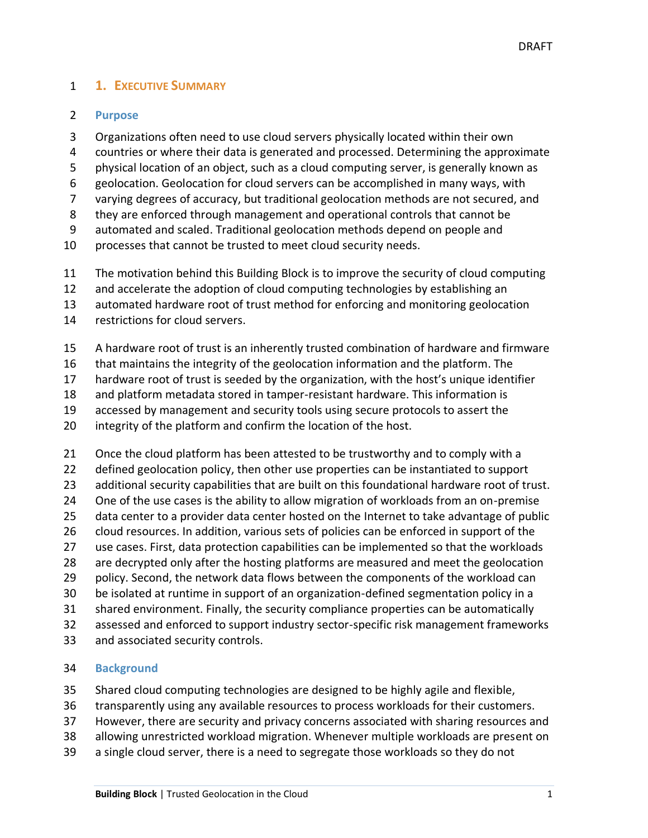#### <span id="page-4-0"></span>**1. EXECUTIVE SUMMARY**

#### <span id="page-4-1"></span>**Purpose**

- Organizations often need to use cloud servers physically located within their own
- countries or where their data is generated and processed. Determining the approximate
- physical location of an object, such as a cloud computing server, is generally known as
- geolocation. Geolocation for cloud servers can be accomplished in many ways, with
- varying degrees of accuracy, but traditional geolocation methods are not secured, and
- they are enforced through management and operational controls that cannot be
- automated and scaled. Traditional geolocation methods depend on people and
- processes that cannot be trusted to meet cloud security needs.
- The motivation behind this Building Block is to improve the security of cloud computing
- and accelerate the adoption of cloud computing technologies by establishing an
- automated hardware root of trust method for enforcing and monitoring geolocation
- restrictions for cloud servers.
- A hardware root of trust is an inherently trusted combination of hardware and firmware
- that maintains the integrity of the geolocation information and the platform. The
- hardware root of trust is seeded by the organization, with the host's unique identifier
- and platform metadata stored in tamper-resistant hardware. This information is
- accessed by management and security tools using secure protocols to assert the
- 20 integrity of the platform and confirm the location of the host.
- 21 Once the cloud platform has been attested to be trustworthy and to comply with a defined geolocation policy, then other use properties can be instantiated to support additional security capabilities that are built on this foundational hardware root of trust. One of the use cases is the ability to allow migration of workloads from an on-premise data center to a provider data center hosted on the Internet to take advantage of public cloud resources. In addition, various sets of policies can be enforced in support of the use cases. First, data protection capabilities can be implemented so that the workloads are decrypted only after the hosting platforms are measured and meet the geolocation policy. Second, the network data flows between the components of the workload can be isolated at runtime in support of an organization-defined segmentation policy in a shared environment. Finally, the security compliance properties can be automatically assessed and enforced to support industry sector-specific risk management frameworks and associated security controls.

#### <span id="page-4-2"></span>**Background**

- Shared cloud computing technologies are designed to be highly agile and flexible,
- transparently using any available resources to process workloads for their customers.
- However, there are security and privacy concerns associated with sharing resources and
- allowing unrestricted workload migration. Whenever multiple workloads are present on
- a single cloud server, there is a need to segregate those workloads so they do not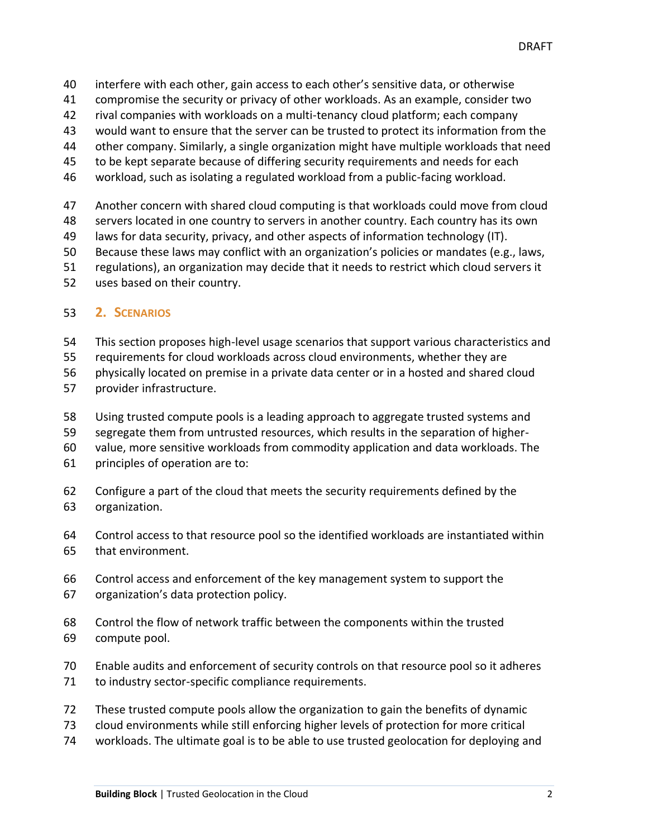- interfere with each other, gain access to each other's sensitive data, or otherwise
- compromise the security or privacy of other workloads. As an example, consider two
- rival companies with workloads on a multi-tenancy cloud platform; each company
- would want to ensure that the server can be trusted to protect its information from the
- other company. Similarly, a single organization might have multiple workloads that need
- to be kept separate because of differing security requirements and needs for each
- workload, such as isolating a regulated workload from a public-facing workload.
- Another concern with shared cloud computing is that workloads could move from cloud
- servers located in one country to servers in another country. Each country has its own
- laws for data security, privacy, and other aspects of information technology (IT).
- Because these laws may conflict with an organization's policies or mandates (e.g., laws,
- regulations), an organization may decide that it needs to restrict which cloud servers it
- uses based on their country.

### <span id="page-5-0"></span>**2. SCENARIOS**

- This section proposes high-level usage scenarios that support various characteristics and
- requirements for cloud workloads across cloud environments, whether they are
- physically located on premise in a private data center or in a hosted and shared cloud
- provider infrastructure.
- Using trusted compute pools is a leading approach to aggregate trusted systems and
- segregate them from untrusted resources, which results in the separation of higher-
- value, more sensitive workloads from commodity application and data workloads. The
- principles of operation are to:
- Configure a part of the cloud that meets the security requirements defined by the organization.
- Control access to that resource pool so the identified workloads are instantiated within that environment.
- Control access and enforcement of the key management system to support the organization's data protection policy.
- Control the flow of network traffic between the components within the trusted compute pool.
- Enable audits and enforcement of security controls on that resource pool so it adheres
- to industry sector-specific compliance requirements.
- These trusted compute pools allow the organization to gain the benefits of dynamic
- cloud environments while still enforcing higher levels of protection for more critical
- workloads. The ultimate goal is to be able to use trusted geolocation for deploying and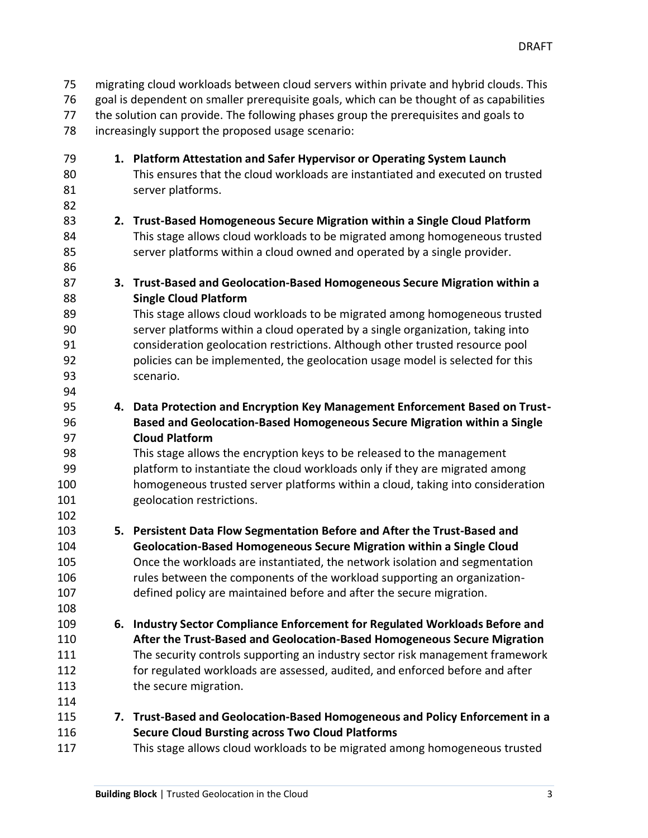migrating cloud workloads between cloud servers within private and hybrid clouds. This goal is dependent on smaller prerequisite goals, which can be thought of as capabilities the solution can provide. The following phases group the prerequisites and goals to increasingly support the proposed usage scenario: **1. Platform Attestation and Safer Hypervisor or Operating System Launch** This ensures that the cloud workloads are instantiated and executed on trusted server platforms. **2. Trust-Based Homogeneous Secure Migration within a Single Cloud Platform** This stage allows cloud workloads to be migrated among homogeneous trusted server platforms within a cloud owned and operated by a single provider. 

- **3. Trust-Based and Geolocation-Based Homogeneous Secure Migration within a Single Cloud Platform**
- This stage allows cloud workloads to be migrated among homogeneous trusted server platforms within a cloud operated by a single organization, taking into consideration geolocation restrictions. Although other trusted resource pool policies can be implemented, the geolocation usage model is selected for this scenario.
- **4. Data Protection and Encryption Key Management Enforcement Based on Trust- Based and Geolocation-Based Homogeneous Secure Migration within a Single Cloud Platform**
- This stage allows the encryption keys to be released to the management platform to instantiate the cloud workloads only if they are migrated among homogeneous trusted server platforms within a cloud, taking into consideration geolocation restrictions.
- **5. Persistent Data Flow Segmentation Before and After the Trust-Based and Geolocation-Based Homogeneous Secure Migration within a Single Cloud** Once the workloads are instantiated, the network isolation and segmentation rules between the components of the workload supporting an organization-defined policy are maintained before and after the secure migration.
- **6. Industry Sector Compliance Enforcement for Regulated Workloads Before and After the Trust-Based and Geolocation-Based Homogeneous Secure Migration** The security controls supporting an industry sector risk management framework for regulated workloads are assessed, audited, and enforced before and after the secure migration.
- **7. Trust-Based and Geolocation-Based Homogeneous and Policy Enforcement in a Secure Cloud Bursting across Two Cloud Platforms** This stage allows cloud workloads to be migrated among homogeneous trusted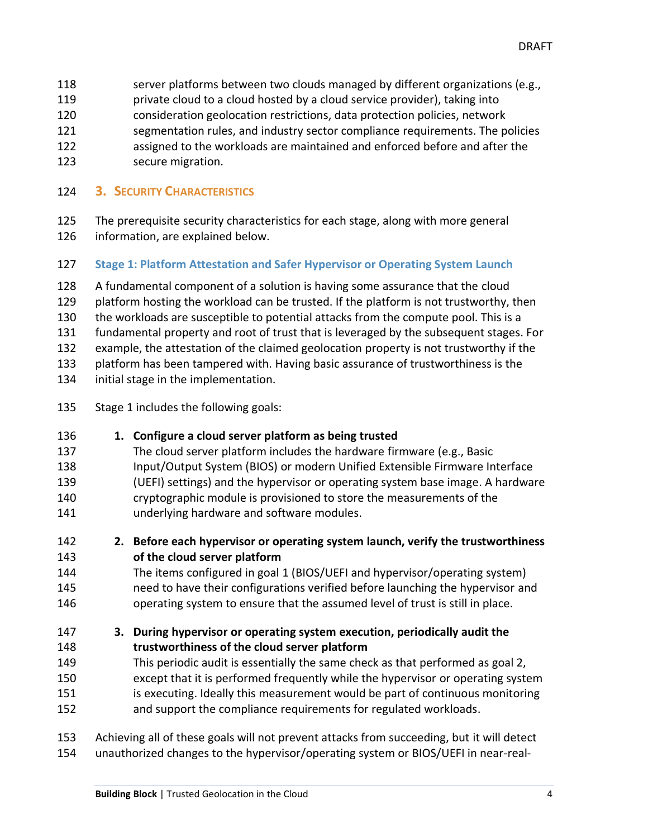- server platforms between two clouds managed by different organizations (e.g.,
- private cloud to a cloud hosted by a cloud service provider), taking into
- consideration geolocation restrictions, data protection policies, network
- segmentation rules, and industry sector compliance requirements. The policies
- assigned to the workloads are maintained and enforced before and after the secure migration.

### <span id="page-7-0"></span>**3. SECURITY CHARACTERISTICS**

 The prerequisite security characteristics for each stage, along with more general information, are explained below.

# <span id="page-7-1"></span>**Stage 1: Platform Attestation and Safer Hypervisor or Operating System Launch**

A fundamental component of a solution is having some assurance that the cloud

platform hosting the workload can be trusted. If the platform is not trustworthy, then

the workloads are susceptible to potential attacks from the compute pool. This is a

fundamental property and root of trust that is leveraged by the subsequent stages. For

example, the attestation of the claimed geolocation property is not trustworthy if the

platform has been tampered with. Having basic assurance of trustworthiness is the

- initial stage in the implementation.
- Stage 1 includes the following goals:

# **1. Configure a cloud server platform as being trusted**

- The cloud server platform includes the hardware firmware (e.g., Basic Input/Output System (BIOS) or modern Unified Extensible Firmware Interface (UEFI) settings) and the hypervisor or operating system base image. A hardware cryptographic module is provisioned to store the measurements of the underlying hardware and software modules.
- **2. Before each hypervisor or operating system launch, verify the trustworthiness of the cloud server platform**
- The items configured in goal 1 (BIOS/UEFI and hypervisor/operating system) need to have their configurations verified before launching the hypervisor and operating system to ensure that the assumed level of trust is still in place.

#### **3. During hypervisor or operating system execution, periodically audit the trustworthiness of the cloud server platform**

- This periodic audit is essentially the same check as that performed as goal 2,
- except that it is performed frequently while the hypervisor or operating system
- is executing. Ideally this measurement would be part of continuous monitoring
- and support the compliance requirements for regulated workloads.
- Achieving all of these goals will not prevent attacks from succeeding, but it will detect unauthorized changes to the hypervisor/operating system or BIOS/UEFI in near-real-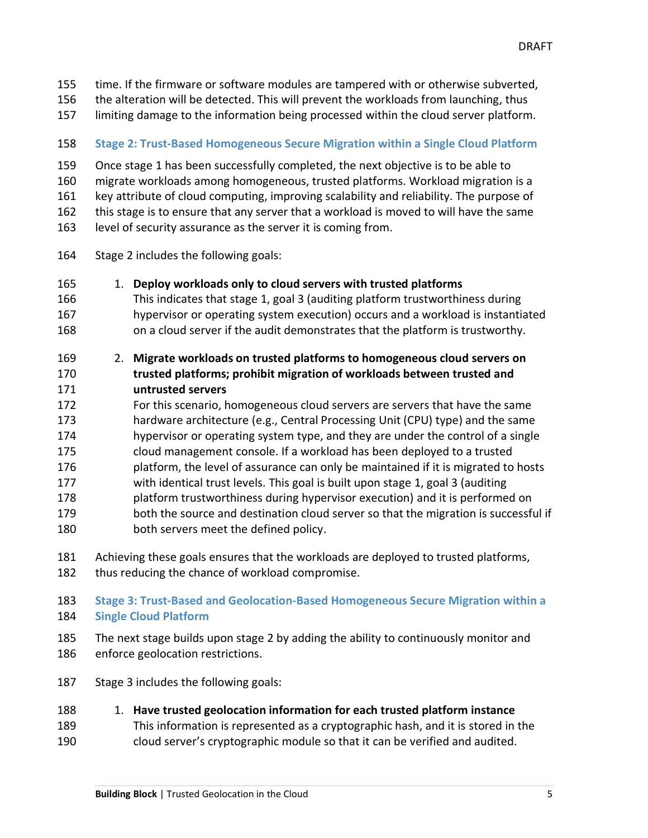- time. If the firmware or software modules are tampered with or otherwise subverted,
- the alteration will be detected. This will prevent the workloads from launching, thus
- limiting damage to the information being processed within the cloud server platform.
- <span id="page-8-0"></span>**Stage 2: Trust-Based Homogeneous Secure Migration within a Single Cloud Platform**
- Once stage 1 has been successfully completed, the next objective is to be able to
- migrate workloads among homogeneous, trusted platforms. Workload migration is a
- key attribute of cloud computing, improving scalability and reliability. The purpose of
- this stage is to ensure that any server that a workload is moved to will have the same
- 163 level of security assurance as the server it is coming from.
- Stage 2 includes the following goals:
- 1. **Deploy workloads only to cloud servers with trusted platforms**
- This indicates that stage 1, goal 3 (auditing platform trustworthiness during hypervisor or operating system execution) occurs and a workload is instantiated on a cloud server if the audit demonstrates that the platform is trustworthy.
- 2. **Migrate workloads on trusted platforms to homogeneous cloud servers on trusted platforms; prohibit migration of workloads between trusted and untrusted servers**
- For this scenario, homogeneous cloud servers are servers that have the same hardware architecture (e.g., Central Processing Unit (CPU) type) and the same hypervisor or operating system type, and they are under the control of a single cloud management console. If a workload has been deployed to a trusted platform, the level of assurance can only be maintained if it is migrated to hosts with identical trust levels. This goal is built upon stage 1, goal 3 (auditing platform trustworthiness during hypervisor execution) and it is performed on both the source and destination cloud server so that the migration is successful if both servers meet the defined policy.
- Achieving these goals ensures that the workloads are deployed to trusted platforms, thus reducing the chance of workload compromise.
- <span id="page-8-1"></span> **Stage 3: Trust-Based and Geolocation-Based Homogeneous Secure Migration within a Single Cloud Platform**
- The next stage builds upon stage 2 by adding the ability to continuously monitor and enforce geolocation restrictions.
- Stage 3 includes the following goals:
- 1. **Have trusted geolocation information for each trusted platform instance**
- This information is represented as a cryptographic hash, and it is stored in the cloud server's cryptographic module so that it can be verified and audited.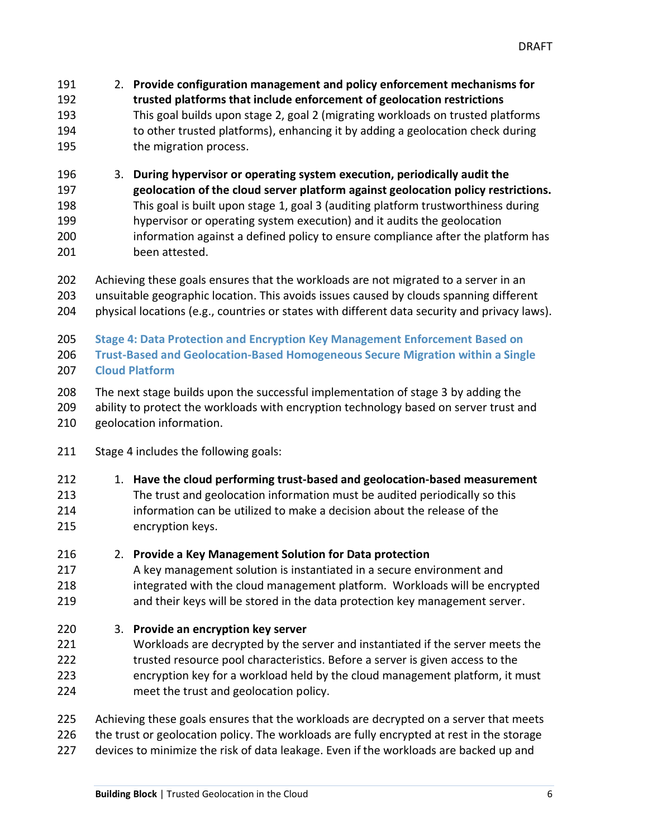- 2. **Provide configuration management and policy enforcement mechanisms for trusted platforms that include enforcement of geolocation restrictions** This goal builds upon stage 2, goal 2 (migrating workloads on trusted platforms to other trusted platforms), enhancing it by adding a geolocation check during the migration process.
- 3. **During hypervisor or operating system execution, periodically audit the geolocation of the cloud server platform against geolocation policy restrictions.** This goal is built upon stage 1, goal 3 (auditing platform trustworthiness during hypervisor or operating system execution) and it audits the geolocation information against a defined policy to ensure compliance after the platform has been attested.

Achieving these goals ensures that the workloads are not migrated to a server in an

unsuitable geographic location. This avoids issues caused by clouds spanning different

physical locations (e.g., countries or states with different data security and privacy laws).

<span id="page-9-0"></span> **Stage 4: Data Protection and Encryption Key Management Enforcement Based on Trust-Based and Geolocation-Based Homogeneous Secure Migration within a Single Cloud Platform**

The next stage builds upon the successful implementation of stage 3 by adding the

- ability to protect the workloads with encryption technology based on server trust and geolocation information.
- Stage 4 includes the following goals:
- 1. **Have the cloud performing trust-based and geolocation-based measurement**
- The trust and geolocation information must be audited periodically so this information can be utilized to make a decision about the release of the encryption keys.
- 2. **Provide a Key Management Solution for Data protection**
- A key management solution is instantiated in a secure environment and integrated with the cloud management platform. Workloads will be encrypted and their keys will be stored in the data protection key management server.
- 3. **Provide an encryption key server**
- Workloads are decrypted by the server and instantiated if the server meets the trusted resource pool characteristics. Before a server is given access to the encryption key for a workload held by the cloud management platform, it must meet the trust and geolocation policy.
- Achieving these goals ensures that the workloads are decrypted on a server that meets 226 the trust or geolocation policy. The workloads are fully encrypted at rest in the storage devices to minimize the risk of data leakage. Even if the workloads are backed up and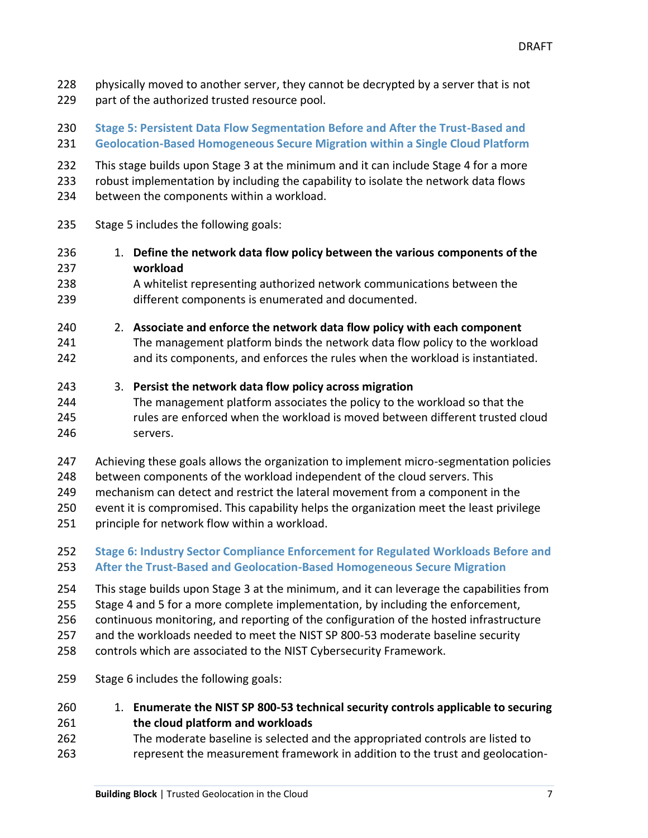- 228 physically moved to another server, they cannot be decrypted by a server that is not
- part of the authorized trusted resource pool.

## <span id="page-10-0"></span> **Stage 5: Persistent Data Flow Segmentation Before and After the Trust-Based and Geolocation-Based Homogeneous Secure Migration within a Single Cloud Platform**

- This stage builds upon Stage 3 at the minimum and it can include Stage 4 for a more
- robust implementation by including the capability to isolate the network data flows
- between the components within a workload.
- Stage 5 includes the following goals:
- 1. **Define the network data flow policy between the various components of the workload**
- A whitelist representing authorized network communications between the different components is enumerated and documented.
- 2. **Associate and enforce the network data flow policy with each component** The management platform binds the network data flow policy to the workload
- and its components, and enforces the rules when the workload is instantiated.

### 3. **Persist the network data flow policy across migration**

- The management platform associates the policy to the workload so that the rules are enforced when the workload is moved between different trusted cloud servers.
- Achieving these goals allows the organization to implement micro-segmentation policies
- between components of the workload independent of the cloud servers. This
- mechanism can detect and restrict the lateral movement from a component in the
- event it is compromised. This capability helps the organization meet the least privilege
- principle for network flow within a workload.

#### <span id="page-10-1"></span> **Stage 6: Industry Sector Compliance Enforcement for Regulated Workloads Before and After the Trust-Based and Geolocation-Based Homogeneous Secure Migration**

- This stage builds upon Stage 3 at the minimum, and it can leverage the capabilities from
- Stage 4 and 5 for a more complete implementation, by including the enforcement,
- continuous monitoring, and reporting of the configuration of the hosted infrastructure
- and the workloads needed to meet the NIST SP 800-53 moderate baseline security
- controls which are associated to the NIST Cybersecurity Framework.
- Stage 6 includes the following goals:

### 1. **Enumerate the NIST SP 800-53 technical security controls applicable to securing the cloud platform and workloads**

 The moderate baseline is selected and the appropriated controls are listed to represent the measurement framework in addition to the trust and geolocation-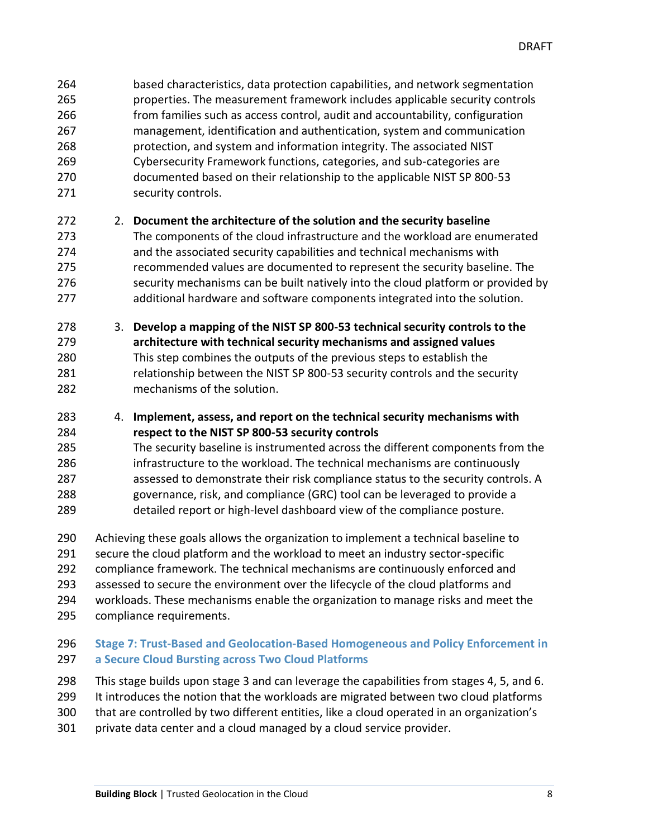| 264<br>265<br>266<br>267<br>268<br>269<br>270<br>271 |    | based characteristics, data protection capabilities, and network segmentation<br>properties. The measurement framework includes applicable security controls<br>from families such as access control, audit and accountability, configuration<br>management, identification and authentication, system and communication<br>protection, and system and information integrity. The associated NIST<br>Cybersecurity Framework functions, categories, and sub-categories are<br>documented based on their relationship to the applicable NIST SP 800-53<br>security controls. |
|------------------------------------------------------|----|-----------------------------------------------------------------------------------------------------------------------------------------------------------------------------------------------------------------------------------------------------------------------------------------------------------------------------------------------------------------------------------------------------------------------------------------------------------------------------------------------------------------------------------------------------------------------------|
| 272<br>273<br>274<br>275<br>276<br>277               | 2. | Document the architecture of the solution and the security baseline<br>The components of the cloud infrastructure and the workload are enumerated<br>and the associated security capabilities and technical mechanisms with<br>recommended values are documented to represent the security baseline. The<br>security mechanisms can be built natively into the cloud platform or provided by<br>additional hardware and software components integrated into the solution.                                                                                                   |
| 278<br>279<br>280<br>281<br>282                      |    | 3. Develop a mapping of the NIST SP 800-53 technical security controls to the<br>architecture with technical security mechanisms and assigned values<br>This step combines the outputs of the previous steps to establish the<br>relationship between the NIST SP 800-53 security controls and the security<br>mechanisms of the solution.                                                                                                                                                                                                                                  |
| 283<br>284<br>285<br>286<br>287<br>288<br>289        | 4. | Implement, assess, and report on the technical security mechanisms with<br>respect to the NIST SP 800-53 security controls<br>The security baseline is instrumented across the different components from the<br>infrastructure to the workload. The technical mechanisms are continuously<br>assessed to demonstrate their risk compliance status to the security controls. A<br>governance, risk, and compliance (GRC) tool can be leveraged to provide a<br>detailed report or high-level dashboard view of the compliance posture.                                       |
| 29U                                                  |    | Achieving these goals allows the organization to implement a technical baseline to                                                                                                                                                                                                                                                                                                                                                                                                                                                                                          |

- Achieving these goals allows the organization to implement a technical baseline to
- secure the cloud platform and the workload to meet an industry sector-specific
- compliance framework. The technical mechanisms are continuously enforced and
- assessed to secure the environment over the lifecycle of the cloud platforms and
- workloads. These mechanisms enable the organization to manage risks and meet the compliance requirements.

#### <span id="page-11-0"></span> **Stage 7: Trust-Based and Geolocation-Based Homogeneous and Policy Enforcement in a Secure Cloud Bursting across Two Cloud Platforms**

- This stage builds upon stage 3 and can leverage the capabilities from stages 4, 5, and 6.
- It introduces the notion that the workloads are migrated between two cloud platforms
- that are controlled by two different entities, like a cloud operated in an organization's
- private data center and a cloud managed by a cloud service provider.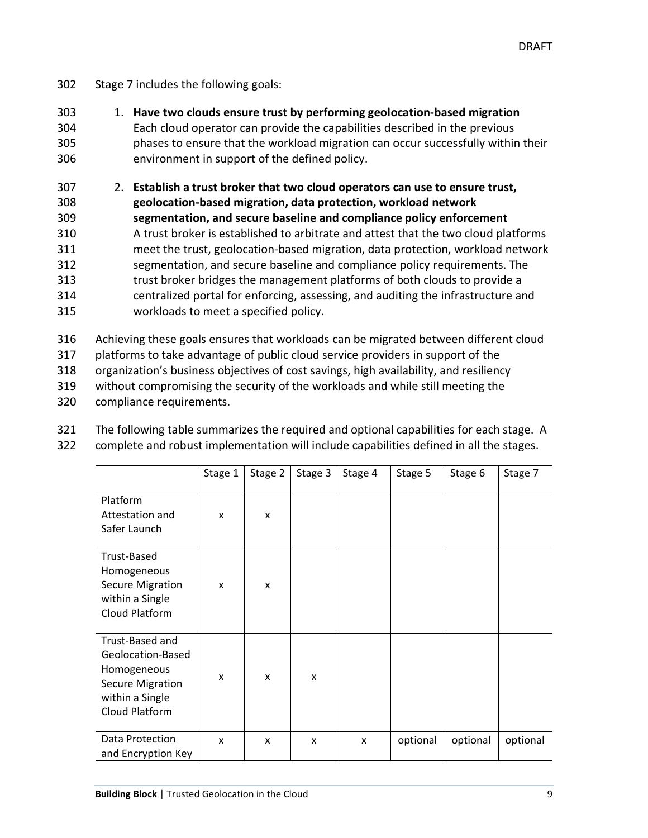- 302 Stage 7 includes the following goals:
- 303 1. **Have two clouds ensure trust by performing geolocation-based migration** 304 Each cloud operator can provide the capabilities described in the previous 305 phases to ensure that the workload migration can occur successfully within their 306 environment in support of the defined policy.
- 307 2. **Establish a trust broker that two cloud operators can use to ensure trust,**  308 **geolocation-based migration, data protection, workload network**  309 **segmentation, and secure baseline and compliance policy enforcement** 310 A trust broker is established to arbitrate and attest that the two cloud platforms 311 meet the trust, geolocation-based migration, data protection, workload network 312 segmentation, and secure baseline and compliance policy requirements. The 313 trust broker bridges the management platforms of both clouds to provide a 314 centralized portal for enforcing, assessing, and auditing the infrastructure and 315 workloads to meet a specified policy.
- 316 Achieving these goals ensures that workloads can be migrated between different cloud
- 317 platforms to take advantage of public cloud service providers in support of the
- 318 organization's business objectives of cost savings, high availability, and resiliency
- 319 without compromising the security of the workloads and while still meeting the
- 320 compliance requirements.
- 321 The following table summarizes the required and optional capabilities for each stage. A 322 complete and robust implementation will include capabilities defined in all the stages.

|                                                                                                                     | Stage 1 | Stage 2 | Stage 3 | Stage 4 | Stage 5  | Stage 6  | Stage 7  |
|---------------------------------------------------------------------------------------------------------------------|---------|---------|---------|---------|----------|----------|----------|
| Platform<br>Attestation and<br>Safer Launch                                                                         | x       | x       |         |         |          |          |          |
| Trust-Based<br>Homogeneous<br><b>Secure Migration</b><br>within a Single<br>Cloud Platform                          | x       | X       |         |         |          |          |          |
| Trust-Based and<br>Geolocation-Based<br>Homogeneous<br><b>Secure Migration</b><br>within a Single<br>Cloud Platform | x       | X       | X       |         |          |          |          |
| Data Protection<br>and Encryption Key                                                                               | x       | X       | x       | X       | optional | optional | optional |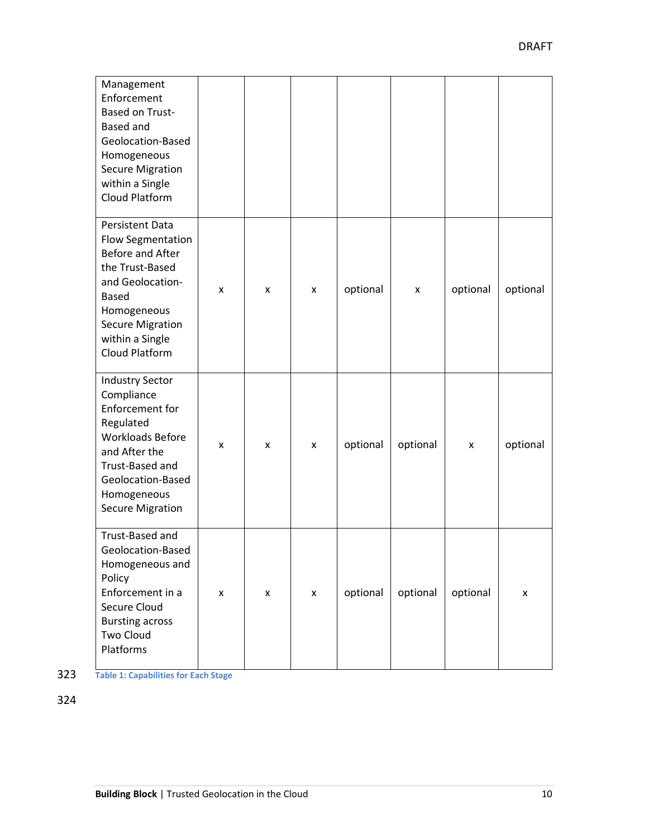| Management<br>Enforcement<br><b>Based on Trust-</b><br><b>Based and</b><br>Geolocation-Based<br>Homogeneous<br><b>Secure Migration</b><br>within a Single<br>Cloud Platform                               |                |   |   |          |          |          |          |
|-----------------------------------------------------------------------------------------------------------------------------------------------------------------------------------------------------------|----------------|---|---|----------|----------|----------|----------|
| Persistent Data<br>Flow Segmentation<br>Before and After<br>the Trust-Based<br>and Geolocation-<br><b>Based</b><br>Homogeneous<br><b>Secure Migration</b><br>within a Single<br>Cloud Platform            | X              | x | X | optional | X        | optional | optional |
| <b>Industry Sector</b><br>Compliance<br><b>Enforcement for</b><br>Regulated<br><b>Workloads Before</b><br>and After the<br>Trust-Based and<br>Geolocation-Based<br>Homogeneous<br><b>Secure Migration</b> | X              | x | X | optional | optional | x        | optional |
| Trust-Based and<br>Geolocation-Based<br>Homogeneous and<br>Policy<br>Enforcement in a<br>Secure Cloud<br><b>Bursting across</b><br>Two Cloud<br>Platforms                                                 | $\pmb{\times}$ | x | X | optional | optional | optional | X        |

323 **Table 1: Capabilities for Each Stage**

324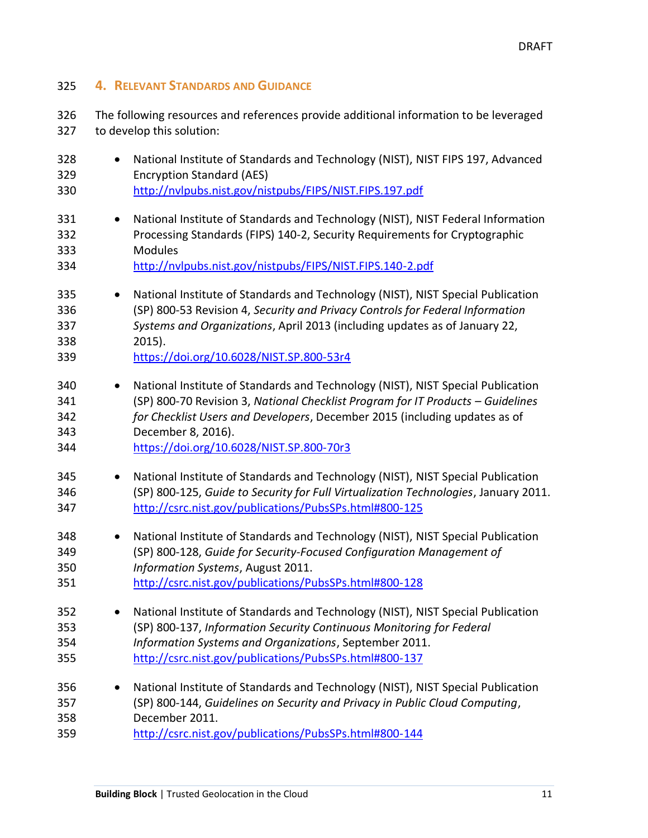# <span id="page-14-0"></span>**4. RELEVANT STANDARDS AND GUIDANCE**

 The following resources and references provide additional information to be leveraged to develop this solution:

| 328                                          | National Institute of Standards and Technology (NIST), NIST FIPS 197, Advanced                                                                                                                                                                                                                          |
|----------------------------------------------|---------------------------------------------------------------------------------------------------------------------------------------------------------------------------------------------------------------------------------------------------------------------------------------------------------|
| 329                                          | <b>Encryption Standard (AES)</b>                                                                                                                                                                                                                                                                        |
| 330                                          | http://nvlpubs.nist.gov/nistpubs/FIPS/NIST.FIPS.197.pdf                                                                                                                                                                                                                                                 |
| 331                                          | National Institute of Standards and Technology (NIST), NIST Federal Information                                                                                                                                                                                                                         |
| 332                                          | Processing Standards (FIPS) 140-2, Security Requirements for Cryptographic                                                                                                                                                                                                                              |
| 333                                          | <b>Modules</b>                                                                                                                                                                                                                                                                                          |
| 334                                          | http://nvlpubs.nist.gov/nistpubs/FIPS/NIST.FIPS.140-2.pdf                                                                                                                                                                                                                                               |
| 335<br>$\bullet$<br>336<br>337<br>338<br>339 | National Institute of Standards and Technology (NIST), NIST Special Publication<br>(SP) 800-53 Revision 4, Security and Privacy Controls for Federal Information<br>Systems and Organizations, April 2013 (including updates as of January 22,<br>$2015$ ).<br>https://doi.org/10.6028/NIST.SP.800-53r4 |
| 340                                          | National Institute of Standards and Technology (NIST), NIST Special Publication                                                                                                                                                                                                                         |
| 341                                          | (SP) 800-70 Revision 3, National Checklist Program for IT Products - Guidelines                                                                                                                                                                                                                         |
| 342                                          | for Checklist Users and Developers, December 2015 (including updates as of                                                                                                                                                                                                                              |
| 343                                          | December 8, 2016).                                                                                                                                                                                                                                                                                      |
| 344                                          | https://doi.org/10.6028/NIST.SP.800-70r3                                                                                                                                                                                                                                                                |
| 345                                          | National Institute of Standards and Technology (NIST), NIST Special Publication                                                                                                                                                                                                                         |
| 346                                          | (SP) 800-125, Guide to Security for Full Virtualization Technologies, January 2011.                                                                                                                                                                                                                     |
| 347                                          | http://csrc.nist.gov/publications/PubsSPs.html#800-125                                                                                                                                                                                                                                                  |
| 348<br>$\bullet$<br>349<br>350<br>351        | National Institute of Standards and Technology (NIST), NIST Special Publication<br>(SP) 800-128, Guide for Security-Focused Configuration Management of<br>Information Systems, August 2011.<br>http://csrc.nist.gov/publications/PubsSPs.html#800-128                                                  |
| 352<br>$\bullet$<br>353<br>354<br>355        | National Institute of Standards and Technology (NIST), NIST Special Publication<br>(SP) 800-137, Information Security Continuous Monitoring for Federal<br>Information Systems and Organizations, September 2011.<br>http://csrc.nist.gov/publications/PubsSPs.html#800-137                             |
| 356                                          | National Institute of Standards and Technology (NIST), NIST Special Publication                                                                                                                                                                                                                         |
| 357                                          | (SP) 800-144, Guidelines on Security and Privacy in Public Cloud Computing,                                                                                                                                                                                                                             |
| 358                                          | December 2011.                                                                                                                                                                                                                                                                                          |
| 359                                          | http://csrc.nist.gov/publications/PubsSPs.html#800-144                                                                                                                                                                                                                                                  |